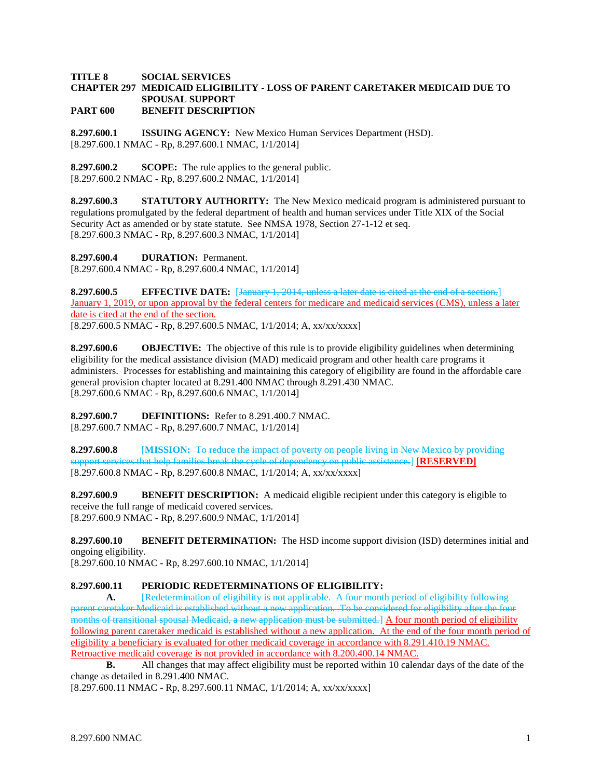## **TITLE 8 SOCIAL SERVICES CHAPTER 297 MEDICAID ELIGIBILITY - LOSS OF PARENT CARETAKER MEDICAID DUE TO SPOUSAL SUPPORT PART 600 BENEFIT DESCRIPTION**

**8.297.600.1 ISSUING AGENCY:** New Mexico Human Services Department (HSD). [8.297.600.1 NMAC - Rp, 8.297.600.1 NMAC, 1/1/2014]

**8.297.600.2 SCOPE:** The rule applies to the general public. [8.297.600.2 NMAC - Rp, 8.297.600.2 NMAC, 1/1/2014]

**8.297.600.3 STATUTORY AUTHORITY:** The New Mexico medicaid program is administered pursuant to regulations promulgated by the federal department of health and human services under Title XIX of the Social Security Act as amended or by state statute. See NMSA 1978, Section 27-1-12 et seq. [8.297.600.3 NMAC - Rp, 8.297.600.3 NMAC, 1/1/2014]

**8.297.600.4 DURATION:** Permanent. [8.297.600.4 NMAC - Rp, 8.297.600.4 NMAC, 1/1/2014]

**8.297.600.5 EFFECTIVE DATE:** [January 1, 2014, unless a later date is cited at the end of a section.] January 1, 2019, or upon approval by the federal centers for medicare and medicaid services (CMS), unless a later date is cited at the end of the section. [8.297.600.5 NMAC - Rp, 8.297.600.5 NMAC, 1/1/2014; A, xx/xx/xxxx]

**8.297.600.6 OBJECTIVE:** The objective of this rule is to provide eligibility guidelines when determining eligibility for the medical assistance division (MAD) medicaid program and other health care programs it administers. Processes for establishing and maintaining this category of eligibility are found in the affordable care general provision chapter located at 8.291.400 NMAC through 8.291.430 NMAC. [8.297.600.6 NMAC - Rp, 8.297.600.6 NMAC, 1/1/2014]

**8.297.600.7 DEFINITIONS:** Refer to 8.291.400.7 NMAC. [8.297.600.7 NMAC - Rp, 8.297.600.7 NMAC, 1/1/2014]

**8.297.600.8** [**MISSION:** To reduce the impact of poverty on people living in New Mexico by providing support services that help families break the cycle of dependency on public assistance.] **[RESERVED]** [8.297.600.8 NMAC - Rp, 8.297.600.8 NMAC, 1/1/2014; A, xx/xx/xxxx]

**8.297.600.9 BENEFIT DESCRIPTION:** A medicaid eligible recipient under this category is eligible to receive the full range of medicaid covered services. [8.297.600.9 NMAC - Rp, 8.297.600.9 NMAC, 1/1/2014]

**8.297.600.10 BENEFIT DETERMINATION:** The HSD income support division (ISD) determines initial and ongoing eligibility.

[8.297.600.10 NMAC - Rp, 8.297.600.10 NMAC, 1/1/2014]

## **8.297.600.11 PERIODIC REDETERMINATIONS OF ELIGIBILITY:**

**A.** [Redetermination of eligibility is not applicable. A four month period of eligibility following parent caretaker Medicaid is established without a new application. To be considered for eligibility after the four months of transitional spousal Medicaid, a new application must be submitted.] A four month period of eligibility following parent caretaker medicaid is established without a new application. At the end of the four month period of eligibility a beneficiary is evaluated for other medicaid coverage in accordance with 8.291.410.19 NMAC. Retroactive medicaid coverage is not provided in accordance with 8.200.400.14 NMAC.

**B.** All changes that may affect eligibility must be reported within 10 calendar days of the date of the change as detailed in 8.291.400 NMAC.

[8.297.600.11 NMAC - Rp, 8.297.600.11 NMAC, 1/1/2014; A, xx/xx/xxxx]